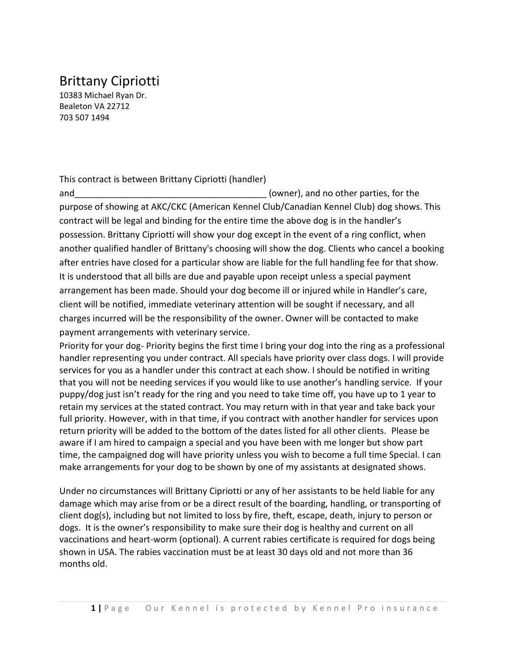## Brittany Cipriotti

10383 Michael Ryan Dr. Bealeton VA 22712 703 507 1494

This contract is between Brittany Cipriotti (handler)

and and the contract of the contract of the contract of the contract of the contract of the parties, for the  $(owner)$ , and no other parties, for the purpose of showing at AKC/CKC (American Kennel Club/Canadian Kennel Club) dog shows. This contract will be legal and binding for the entire time the above dog is in the handler's possession. Brittany Cipriotti will show your dog except in the event of a ring conflict, when another qualified handler of Brittany's choosing will show the dog. Clients who cancel a booking after entries have closed for a particular show are liable for the full handling fee for that show. It is understood that all bills are due and payable upon receipt unless a special payment arrangement has been made. Should your dog become ill or injured while in Handler's care, client will be notified, immediate veterinary attention will be sought if necessary, and all charges incurred will be the responsibility of the owner. Owner will be contacted to make payment arrangements with veterinary service.

Priority for your dog- Priority begins the first time I bring your dog into the ring as a professional handler representing you under contract. All specials have priority over class dogs. I will provide services for you as a handler under this contract at each show. I should be notified in writing that you will not be needing services if you would like to use another's handling service. If your puppy/dog just isn't ready for the ring and you need to take time off, you have up to 1 year to retain my services at the stated contract. You may return with in that year and take back your full priority. However, with in that time, if you contract with another handler for services upon return priority will be added to the bottom of the dates listed for all other clients. Please be aware if I am hired to campaign a special and you have been with me longer but show part time, the campaigned dog will have priority unless you wish to become a full time Special. I can make arrangements for your dog to be shown by one of my assistants at designated shows.

Under no circumstances will Brittany Cipriotti or any of her assistants to be held liable for any damage which may arise from or be a direct result of the boarding, handling, or transporting of client dog(s), including but not limited to loss by fire, theft, escape, death, injury to person or dogs. It is the owner's responsibility to make sure their dog is healthy and current on all vaccinations and heart-worm (optional). A current rabies certificate is required for dogs being shown in USA. The rabies vaccination must be at least 30 days old and not more than 36 months old.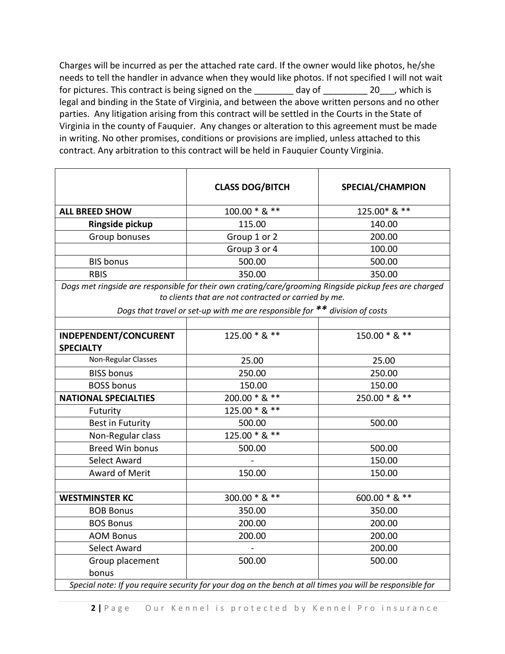Charges will be incurred as per the attached rate card. If the owner would like photos, he/she needs to tell the handler in advance when they would like photos. If not specified I will not wait for pictures. This contract is being signed on the day of the same of the set of the set of the set of the set o legal and binding in the State of Virginia, and between the above written persons and no other parties. Any litigation arising from this contract will be settled in the Courts in the State of Virginia in the county of Fauquier. Any changes or alteration to this agreement must be made in writing. No other promises, conditions or provisions are implied, unless attached to this contract. Any arbitration to this contract will be held in Fauquier County Virginia.

| $100.00 * 8$ **<br><b>ALL BREED SHOW</b><br>Ringside pickup<br>115.00<br>Group 1 or 2<br>Group bonuses<br>Group 3 or 4<br><b>BIS bonus</b><br>500.00<br><b>RBIS</b><br>350.00<br>Dogs met ringside are responsible for their own crating/care/grooming Ringside pickup fees are charged<br>to clients that are not contracted or carried by me.<br>Dogs that travel or set-up with me are responsible for ** division of costs | 125.00* & **<br>140.00<br>200.00 |
|--------------------------------------------------------------------------------------------------------------------------------------------------------------------------------------------------------------------------------------------------------------------------------------------------------------------------------------------------------------------------------------------------------------------------------|----------------------------------|
|                                                                                                                                                                                                                                                                                                                                                                                                                                |                                  |
|                                                                                                                                                                                                                                                                                                                                                                                                                                |                                  |
|                                                                                                                                                                                                                                                                                                                                                                                                                                |                                  |
|                                                                                                                                                                                                                                                                                                                                                                                                                                | 100.00                           |
|                                                                                                                                                                                                                                                                                                                                                                                                                                | 500.00                           |
|                                                                                                                                                                                                                                                                                                                                                                                                                                | 350.00                           |
|                                                                                                                                                                                                                                                                                                                                                                                                                                |                                  |
| 125.00 * & **<br>INDEPENDENT/CONCURENT<br><b>SPECIALTY</b>                                                                                                                                                                                                                                                                                                                                                                     | 150.00 * & **                    |
| Non-Regular Classes<br>25.00                                                                                                                                                                                                                                                                                                                                                                                                   | 25.00                            |
| <b>BISS bonus</b><br>250.00                                                                                                                                                                                                                                                                                                                                                                                                    | 250.00                           |
| <b>BOSS bonus</b><br>150.00                                                                                                                                                                                                                                                                                                                                                                                                    | 150.00                           |
| 200.00 * & **<br><b>NATIONAL SPECIALTIES</b>                                                                                                                                                                                                                                                                                                                                                                                   | 250.00 * & **                    |
| 125.00 * & **<br>Futurity                                                                                                                                                                                                                                                                                                                                                                                                      |                                  |
| <b>Best in Futurity</b><br>500.00                                                                                                                                                                                                                                                                                                                                                                                              | 500.00                           |
| 125.00 * & **<br>Non-Regular class                                                                                                                                                                                                                                                                                                                                                                                             |                                  |
| <b>Breed Win bonus</b><br>500.00                                                                                                                                                                                                                                                                                                                                                                                               | 500.00                           |
| <b>Select Award</b>                                                                                                                                                                                                                                                                                                                                                                                                            | 150.00                           |
| <b>Award of Merit</b><br>150.00                                                                                                                                                                                                                                                                                                                                                                                                | 150.00                           |
|                                                                                                                                                                                                                                                                                                                                                                                                                                |                                  |
| 300.00 * & **<br><b>WESTMINSTER KC</b>                                                                                                                                                                                                                                                                                                                                                                                         | 600.00 * & **                    |
| <b>BOB Bonus</b><br>350.00                                                                                                                                                                                                                                                                                                                                                                                                     | 350.00                           |
| <b>BOS Bonus</b><br>200.00                                                                                                                                                                                                                                                                                                                                                                                                     | 200.00                           |
| <b>AOM Bonus</b><br>200.00                                                                                                                                                                                                                                                                                                                                                                                                     | 200.00                           |
| <b>Select Award</b>                                                                                                                                                                                                                                                                                                                                                                                                            | 200.00                           |
| Group placement<br>500.00<br>bonus<br>Special note: If you require security for your dog on the bench at all times you will be responsible for                                                                                                                                                                                                                                                                                 |                                  |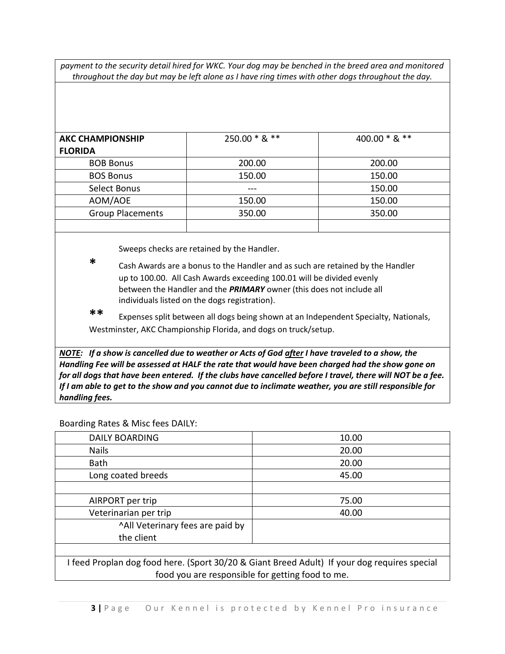*payment to the security detail hired for WKC. Your dog may be benched in the breed area and monitored throughout the day but may be left alone as I have ring times with other dogs throughout the day.*

| <b>AKC CHAMPIONSHIP</b> | 250.00 * & ** | 400.00 $*$ & $**$ |
|-------------------------|---------------|-------------------|
| <b>FLORIDA</b>          |               |                   |
| <b>BOB Bonus</b>        | 200.00        | 200.00            |
| <b>BOS Bonus</b>        | 150.00        | 150.00            |
| Select Bonus            | ---           | 150.00            |
| AOM/AOE                 | 150.00        | 150.00            |
| <b>Group Placements</b> | 350.00        | 350.00            |
|                         |               |                   |

Sweeps checks are retained by the Handler.

- **\*** Cash Awards are a bonus to the Handler and as such are retained by the Handler up to 100.00. All Cash Awards exceeding 100.01 will be divided evenly between the Handler and the *PRIMARY* owner (this does not include all individuals listed on the dogs registration).
- **\*\*** Expenses split between all dogs being shown at an Independent Specialty, Nationals, Westminster, AKC Championship Florida, and dogs on truck/setup.

*NOTE: If a show is cancelled due to weather or Acts of God after I have traveled to a show, the Handling Fee will be assessed at HALF the rate that would have been charged had the show gone on for all dogs that have been entered. If the clubs have cancelled before I travel, there will NOT be a fee. If I am able to get to the show and you cannot due to inclimate weather, you are still responsible for handling fees.*

## Boarding Rates & Misc fees DAILY:

| <b>DAILY BOARDING</b>                                                                     | 10.00 |  |
|-------------------------------------------------------------------------------------------|-------|--|
| <b>Nails</b>                                                                              | 20.00 |  |
| <b>Bath</b>                                                                               | 20.00 |  |
| Long coated breeds                                                                        | 45.00 |  |
|                                                                                           |       |  |
| AIRPORT per trip                                                                          | 75.00 |  |
| Veterinarian per trip                                                                     | 40.00 |  |
| "All Veterinary fees are paid by                                                          |       |  |
| the client                                                                                |       |  |
|                                                                                           |       |  |
| feed Proplan dog food here (Sport 30/20 & Giant Breed Adult) If your dog requires special |       |  |

od here. (Sport 30/20 & Giant Breed Adult) If your dog require food you are responsible for getting food to me.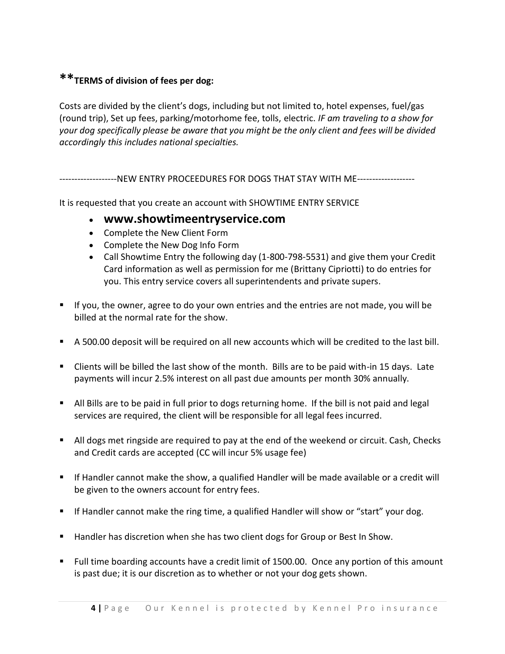## **\*\*TERMS of division of fees per dog:**

Costs are divided by the client's dogs, including but not limited to, hotel expenses, fuel/gas (round trip), Set up fees, parking/motorhome fee, tolls, electric. *IF am traveling to a show for your dog specifically please be aware that you might be the only client and fees will be divided accordingly this includes national specialties.*

----------NEW ENTRY PROCEEDURES FOR DOGS THAT STAY WITH ME-------------------

It is requested that you create an account with SHOWTIME ENTRY SERVICE

## • **www.showtimeentryservice.com**

- Complete the New Client Form
- Complete the New Dog Info Form
- Call Showtime Entry the following day (1-800-798-5531) and give them your Credit Card information as well as permission for me (Brittany Cipriotti) to do entries for you. This entry service covers all superintendents and private supers.
- If you, the owner, agree to do your own entries and the entries are not made, you will be billed at the normal rate for the show.
- A 500.00 deposit will be required on all new accounts which will be credited to the last bill.
- Clients will be billed the last show of the month. Bills are to be paid with-in 15 days. Late payments will incur 2.5% interest on all past due amounts per month 30% annually.
- All Bills are to be paid in full prior to dogs returning home. If the bill is not paid and legal services are required, the client will be responsible for all legal fees incurred.
- All dogs met ringside are required to pay at the end of the weekend or circuit. Cash, Checks and Credit cards are accepted (CC will incur 5% usage fee)
- If Handler cannot make the show, a qualified Handler will be made available or a credit will be given to the owners account for entry fees.
- If Handler cannot make the ring time, a qualified Handler will show or "start" your dog.
- Handler has discretion when she has two client dogs for Group or Best In Show.
- Full time boarding accounts have a credit limit of 1500.00. Once any portion of this amount is past due; it is our discretion as to whether or not your dog gets shown.